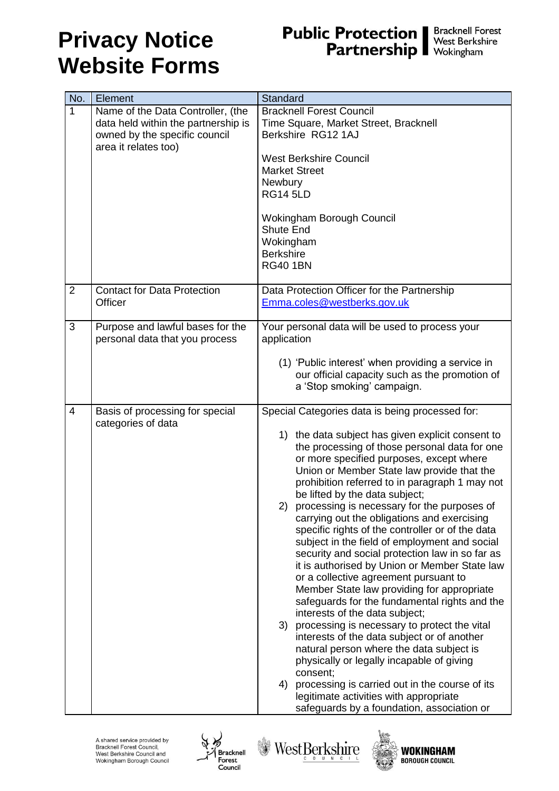#### **Privacy Notice Website Forms**

### **Public Protection | Bracknell Forest**<br>**Partnership |** West Berkshire<br>Wokingham

| No.                      | Element                             | Standard                                                                                 |
|--------------------------|-------------------------------------|------------------------------------------------------------------------------------------|
| $\mathbf{1}$             | Name of the Data Controller, (the   | <b>Bracknell Forest Council</b>                                                          |
|                          | data held within the partnership is | Time Square, Market Street, Bracknell                                                    |
|                          | owned by the specific council       | Berkshire RG12 1AJ                                                                       |
|                          | area it relates too)                |                                                                                          |
|                          |                                     | <b>West Berkshire Council</b>                                                            |
|                          |                                     | <b>Market Street</b>                                                                     |
|                          |                                     | Newbury                                                                                  |
|                          |                                     | <b>RG14 5LD</b>                                                                          |
|                          |                                     |                                                                                          |
|                          |                                     | Wokingham Borough Council                                                                |
|                          |                                     | Shute End                                                                                |
|                          |                                     | Wokingham                                                                                |
|                          |                                     | <b>Berkshire</b>                                                                         |
|                          |                                     | <b>RG40 1BN</b>                                                                          |
|                          |                                     |                                                                                          |
| $\overline{2}$           | <b>Contact for Data Protection</b>  | Data Protection Officer for the Partnership                                              |
|                          | Officer                             | Emma.coles@westberks.gov.uk                                                              |
| 3                        | Purpose and lawful bases for the    | Your personal data will be used to process your                                          |
|                          | personal data that you process      | application                                                                              |
|                          |                                     |                                                                                          |
|                          |                                     | (1) 'Public interest' when providing a service in                                        |
|                          |                                     | our official capacity such as the promotion of                                           |
|                          |                                     | a 'Stop smoking' campaign.                                                               |
|                          |                                     |                                                                                          |
| $\overline{\mathcal{A}}$ | Basis of processing for special     | Special Categories data is being processed for:                                          |
|                          | categories of data                  |                                                                                          |
|                          |                                     | 1) the data subject has given explicit consent to                                        |
|                          |                                     | the processing of those personal data for one                                            |
|                          |                                     | or more specified purposes, except where<br>Union or Member State law provide that the   |
|                          |                                     | prohibition referred to in paragraph 1 may not                                           |
|                          |                                     | be lifted by the data subject;                                                           |
|                          |                                     | processing is necessary for the purposes of<br>2)                                        |
|                          |                                     | carrying out the obligations and exercising                                              |
|                          |                                     | specific rights of the controller or of the data                                         |
|                          |                                     | subject in the field of employment and social                                            |
|                          |                                     | security and social protection law in so far as                                          |
|                          |                                     | it is authorised by Union or Member State law                                            |
|                          |                                     | or a collective agreement pursuant to                                                    |
|                          |                                     | Member State law providing for appropriate                                               |
|                          |                                     | safeguards for the fundamental rights and the                                            |
|                          |                                     | interests of the data subject;                                                           |
|                          |                                     | processing is necessary to protect the vital<br>3)                                       |
|                          |                                     | interests of the data subject or of another                                              |
|                          |                                     | natural person where the data subject is                                                 |
|                          |                                     | physically or legally incapable of giving                                                |
|                          |                                     | consent;<br>4)                                                                           |
|                          |                                     | processing is carried out in the course of its<br>legitimate activities with appropriate |
|                          |                                     | safeguards by a foundation, association or                                               |





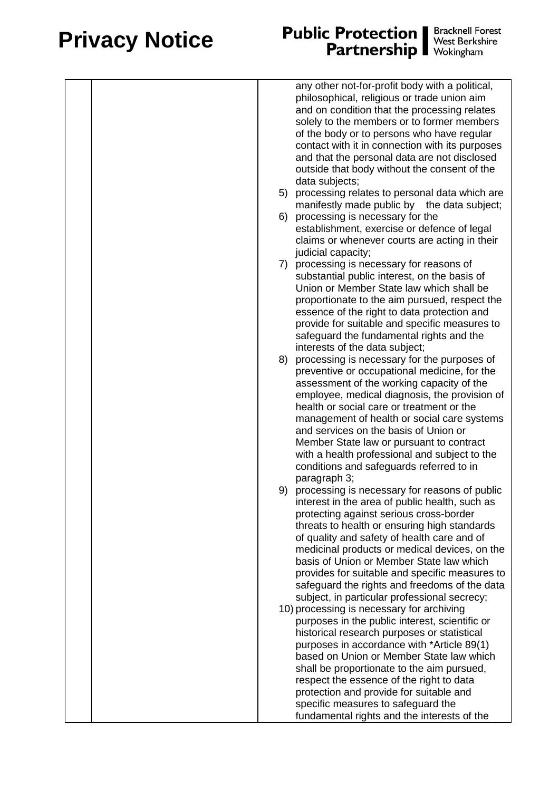### **Privacy Notice**

# **Public Protection | Bracknell Forest**<br>**Partnership | West Berkshire**<br>Wokingham

|    | any other not-for-profit body with a political,<br>philosophical, religious or trade union aim<br>and on condition that the processing relates<br>solely to the members or to former members<br>of the body or to persons who have regular<br>contact with it in connection with its purposes<br>and that the personal data are not disclosed |
|----|-----------------------------------------------------------------------------------------------------------------------------------------------------------------------------------------------------------------------------------------------------------------------------------------------------------------------------------------------|
|    | outside that body without the consent of the<br>data subjects;                                                                                                                                                                                                                                                                                |
|    | 5) processing relates to personal data which are                                                                                                                                                                                                                                                                                              |
|    | manifestly made public by the data subject;                                                                                                                                                                                                                                                                                                   |
|    | 6) processing is necessary for the<br>establishment, exercise or defence of legal                                                                                                                                                                                                                                                             |
|    | claims or whenever courts are acting in their                                                                                                                                                                                                                                                                                                 |
|    | judicial capacity;                                                                                                                                                                                                                                                                                                                            |
|    | 7) processing is necessary for reasons of                                                                                                                                                                                                                                                                                                     |
|    | substantial public interest, on the basis of<br>Union or Member State law which shall be                                                                                                                                                                                                                                                      |
|    | proportionate to the aim pursued, respect the                                                                                                                                                                                                                                                                                                 |
|    | essence of the right to data protection and                                                                                                                                                                                                                                                                                                   |
|    | provide for suitable and specific measures to<br>safeguard the fundamental rights and the                                                                                                                                                                                                                                                     |
|    | interests of the data subject;                                                                                                                                                                                                                                                                                                                |
| 8) | processing is necessary for the purposes of                                                                                                                                                                                                                                                                                                   |
|    | preventive or occupational medicine, for the<br>assessment of the working capacity of the                                                                                                                                                                                                                                                     |
|    | employee, medical diagnosis, the provision of                                                                                                                                                                                                                                                                                                 |
|    | health or social care or treatment or the                                                                                                                                                                                                                                                                                                     |
|    | management of health or social care systems<br>and services on the basis of Union or                                                                                                                                                                                                                                                          |
|    | Member State law or pursuant to contract                                                                                                                                                                                                                                                                                                      |
|    | with a health professional and subject to the                                                                                                                                                                                                                                                                                                 |
|    | conditions and safeguards referred to in<br>paragraph 3;                                                                                                                                                                                                                                                                                      |
|    | 9) processing is necessary for reasons of public                                                                                                                                                                                                                                                                                              |
|    | interest in the area of public health, such as                                                                                                                                                                                                                                                                                                |
|    | protecting against serious cross-border<br>threats to health or ensuring high standards                                                                                                                                                                                                                                                       |
|    | of quality and safety of health care and of                                                                                                                                                                                                                                                                                                   |
|    | medicinal products or medical devices, on the<br>basis of Union or Member State law which                                                                                                                                                                                                                                                     |
|    | provides for suitable and specific measures to                                                                                                                                                                                                                                                                                                |
|    | safeguard the rights and freedoms of the data                                                                                                                                                                                                                                                                                                 |
|    | subject, in particular professional secrecy;                                                                                                                                                                                                                                                                                                  |
|    | 10) processing is necessary for archiving<br>purposes in the public interest, scientific or                                                                                                                                                                                                                                                   |
|    | historical research purposes or statistical                                                                                                                                                                                                                                                                                                   |
|    | purposes in accordance with *Article 89(1)                                                                                                                                                                                                                                                                                                    |
|    | based on Union or Member State law which<br>shall be proportionate to the aim pursued,                                                                                                                                                                                                                                                        |
|    | respect the essence of the right to data                                                                                                                                                                                                                                                                                                      |
|    | protection and provide for suitable and                                                                                                                                                                                                                                                                                                       |
|    | specific measures to safeguard the<br>fundamental rights and the interests of the                                                                                                                                                                                                                                                             |
|    |                                                                                                                                                                                                                                                                                                                                               |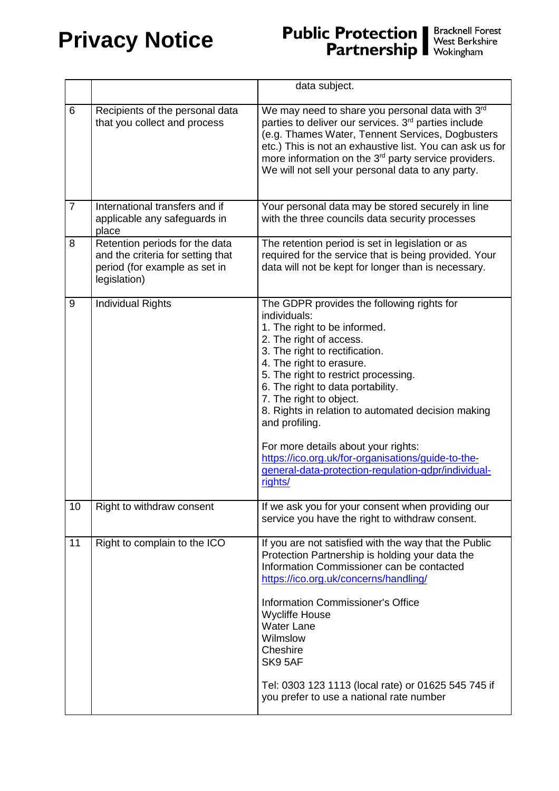#### **Privacy Notice**

# **Public Protection | Bracknell Forest**<br>**Partnership | West Berkshire**<br>Wokingham

|                |                                                                                                                      | data subject.                                                                                                                                                                                                                                                                                                                                                                                                                                                                                                                      |
|----------------|----------------------------------------------------------------------------------------------------------------------|------------------------------------------------------------------------------------------------------------------------------------------------------------------------------------------------------------------------------------------------------------------------------------------------------------------------------------------------------------------------------------------------------------------------------------------------------------------------------------------------------------------------------------|
| 6              | Recipients of the personal data<br>that you collect and process                                                      | We may need to share you personal data with 3rd<br>parties to deliver our services. 3rd parties include<br>(e.g. Thames Water, Tennent Services, Dogbusters<br>etc.) This is not an exhaustive list. You can ask us for<br>more information on the 3 <sup>rd</sup> party service providers.<br>We will not sell your personal data to any party.                                                                                                                                                                                   |
| $\overline{7}$ | International transfers and if<br>applicable any safeguards in<br>place                                              | Your personal data may be stored securely in line<br>with the three councils data security processes                                                                                                                                                                                                                                                                                                                                                                                                                               |
| 8              | Retention periods for the data<br>and the criteria for setting that<br>period (for example as set in<br>legislation) | The retention period is set in legislation or as<br>required for the service that is being provided. Your<br>data will not be kept for longer than is necessary.                                                                                                                                                                                                                                                                                                                                                                   |
| 9              | <b>Individual Rights</b>                                                                                             | The GDPR provides the following rights for<br>individuals:<br>1. The right to be informed.<br>2. The right of access.<br>3. The right to rectification.<br>4. The right to erasure.<br>5. The right to restrict processing.<br>6. The right to data portability.<br>7. The right to object.<br>8. Rights in relation to automated decision making<br>and profiling.<br>For more details about your rights:<br>https://ico.org.uk/for-organisations/guide-to-the-<br>general-data-protection-regulation-gdpr/individual-<br>rights/ |
| 10             | Right to withdraw consent                                                                                            | If we ask you for your consent when providing our<br>service you have the right to withdraw consent.                                                                                                                                                                                                                                                                                                                                                                                                                               |
| 11             | Right to complain to the ICO                                                                                         | If you are not satisfied with the way that the Public<br>Protection Partnership is holding your data the<br>Information Commissioner can be contacted<br>https://ico.org.uk/concerns/handling/<br><b>Information Commissioner's Office</b><br><b>Wycliffe House</b><br><b>Water Lane</b><br>Wilmslow<br>Cheshire<br>SK9 5AF<br>Tel: 0303 123 1113 (local rate) or 01625 545 745 if<br>you prefer to use a national rate number                                                                                                     |